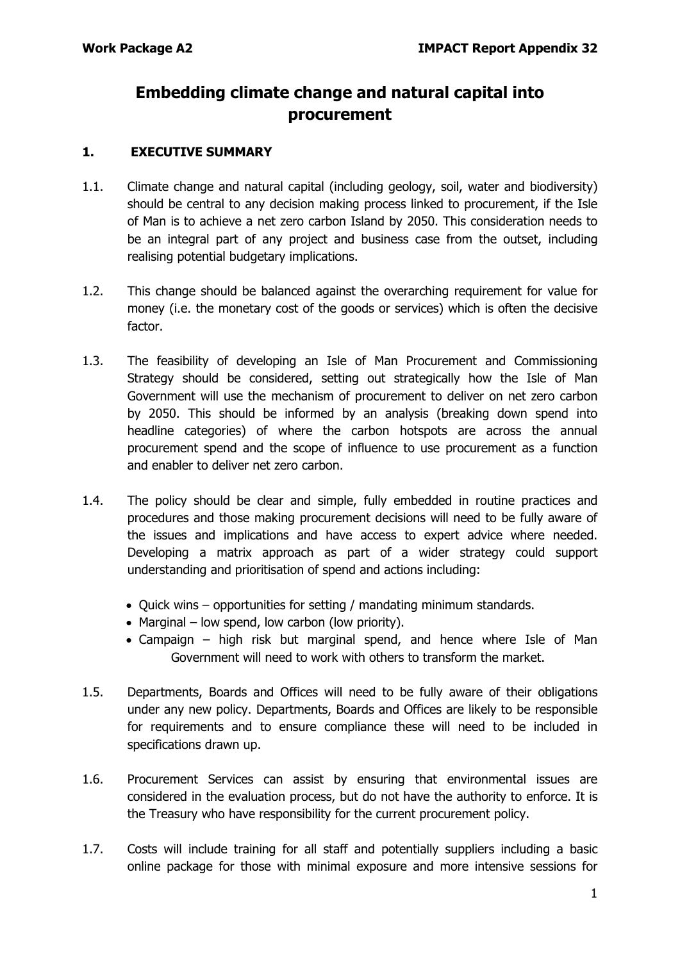# **Embedding climate change and natural capital into procurement**

### **1. EXECUTIVE SUMMARY**

- 1.1. Climate change and natural capital (including geology, soil, water and biodiversity) should be central to any decision making process linked to procurement, if the Isle of Man is to achieve a net zero carbon Island by 2050. This consideration needs to be an integral part of any project and business case from the outset, including realising potential budgetary implications.
- 1.2. This change should be balanced against the overarching requirement for value for money (i.e. the monetary cost of the goods or services) which is often the decisive factor.
- 1.3. The feasibility of developing an Isle of Man Procurement and Commissioning Strategy should be considered, setting out strategically how the Isle of Man Government will use the mechanism of procurement to deliver on net zero carbon by 2050. This should be informed by an analysis (breaking down spend into headline categories) of where the carbon hotspots are across the annual procurement spend and the scope of influence to use procurement as a function and enabler to deliver net zero carbon.
- 1.4. The policy should be clear and simple, fully embedded in routine practices and procedures and those making procurement decisions will need to be fully aware of the issues and implications and have access to expert advice where needed. Developing a matrix approach as part of a wider strategy could support understanding and prioritisation of spend and actions including:
	- Quick wins opportunities for setting / mandating minimum standards.
	- Marginal low spend, low carbon (low priority).
	- Campaign high risk but marginal spend, and hence where Isle of Man Government will need to work with others to transform the market.
- 1.5. Departments, Boards and Offices will need to be fully aware of their obligations under any new policy. Departments, Boards and Offices are likely to be responsible for requirements and to ensure compliance these will need to be included in specifications drawn up.
- 1.6. Procurement Services can assist by ensuring that environmental issues are considered in the evaluation process, but do not have the authority to enforce. It is the Treasury who have responsibility for the current procurement policy.
- 1.7. Costs will include training for all staff and potentially suppliers including a basic online package for those with minimal exposure and more intensive sessions for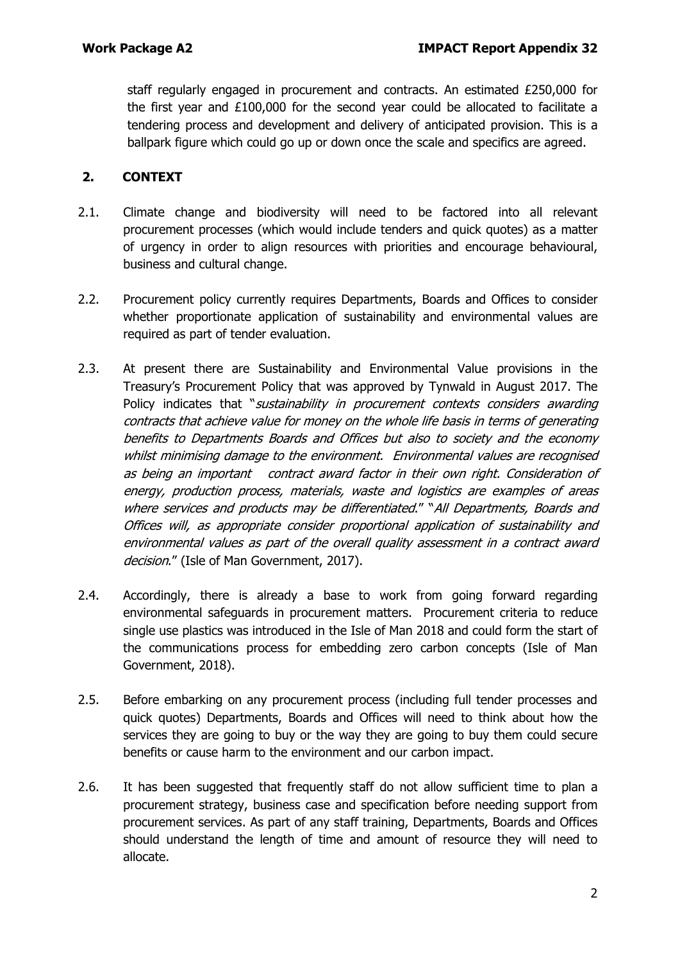staff regularly engaged in procurement and contracts. An estimated £250,000 for the first year and £100,000 for the second year could be allocated to facilitate a tendering process and development and delivery of anticipated provision. This is a ballpark figure which could go up or down once the scale and specifics are agreed.

## **2. CONTEXT**

- 2.1. Climate change and biodiversity will need to be factored into all relevant procurement processes (which would include tenders and quick quotes) as a matter of urgency in order to align resources with priorities and encourage behavioural, business and cultural change.
- 2.2. Procurement policy currently requires Departments, Boards and Offices to consider whether proportionate application of sustainability and environmental values are required as part of tender evaluation.
- 2.3. At present there are Sustainability and Environmental Value provisions in the Treasury's Procurement Policy that was approved by Tynwald in August 2017. The Policy indicates that "sustainability in procurement contexts considers awarding contracts that achieve value for money on the whole life basis in terms of generating benefits to Departments Boards and Offices but also to society and the economy whilst minimising damage to the environment. Environmental values are recognised as being an important contract award factor in their own right. Consideration of energy, production process, materials, waste and logistics are examples of areas where services and products may be differentiated." "All Departments, Boards and Offices will, as appropriate consider proportional application of sustainability and environmental values as part of the overall quality assessment in a contract award decision." (Isle of Man Government, 2017).
- 2.4. Accordingly, there is already a base to work from going forward regarding environmental safeguards in procurement matters. Procurement criteria to reduce single use plastics was introduced in the Isle of Man 2018 and could form the start of the communications process for embedding zero carbon concepts (Isle of Man Government, 2018).
- 2.5. Before embarking on any procurement process (including full tender processes and quick quotes) Departments, Boards and Offices will need to think about how the services they are going to buy or the way they are going to buy them could secure benefits or cause harm to the environment and our carbon impact.
- 2.6. It has been suggested that frequently staff do not allow sufficient time to plan a procurement strategy, business case and specification before needing support from procurement services. As part of any staff training, Departments, Boards and Offices should understand the length of time and amount of resource they will need to allocate.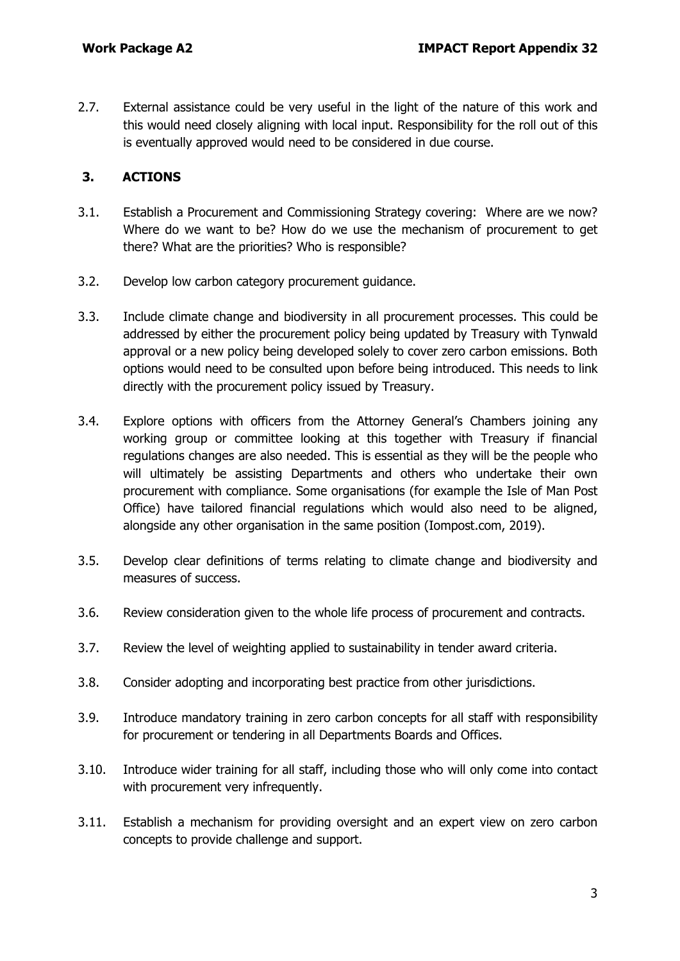2.7. External assistance could be very useful in the light of the nature of this work and this would need closely aligning with local input. Responsibility for the roll out of this is eventually approved would need to be considered in due course.

# **3. ACTIONS**

- 3.1. Establish a Procurement and Commissioning Strategy covering: Where are we now? Where do we want to be? How do we use the mechanism of procurement to get there? What are the priorities? Who is responsible?
- 3.2. Develop low carbon category procurement guidance.
- 3.3. Include climate change and biodiversity in all procurement processes. This could be addressed by either the procurement policy being updated by Treasury with Tynwald approval or a new policy being developed solely to cover zero carbon emissions. Both options would need to be consulted upon before being introduced. This needs to link directly with the procurement policy issued by Treasury.
- 3.4. Explore options with officers from the Attorney General's Chambers joining any working group or committee looking at this together with Treasury if financial regulations changes are also needed. This is essential as they will be the people who will ultimately be assisting Departments and others who undertake their own procurement with compliance. Some organisations (for example the Isle of Man Post Office) have tailored financial regulations which would also need to be aligned, alongside any other organisation in the same position (Iompost.com, 2019).
- 3.5. Develop clear definitions of terms relating to climate change and biodiversity and measures of success.
- 3.6. Review consideration given to the whole life process of procurement and contracts.
- 3.7. Review the level of weighting applied to sustainability in tender award criteria.
- 3.8. Consider adopting and incorporating best practice from other jurisdictions.
- 3.9. Introduce mandatory training in zero carbon concepts for all staff with responsibility for procurement or tendering in all Departments Boards and Offices.
- 3.10. Introduce wider training for all staff, including those who will only come into contact with procurement very infrequently.
- 3.11. Establish a mechanism for providing oversight and an expert view on zero carbon concepts to provide challenge and support.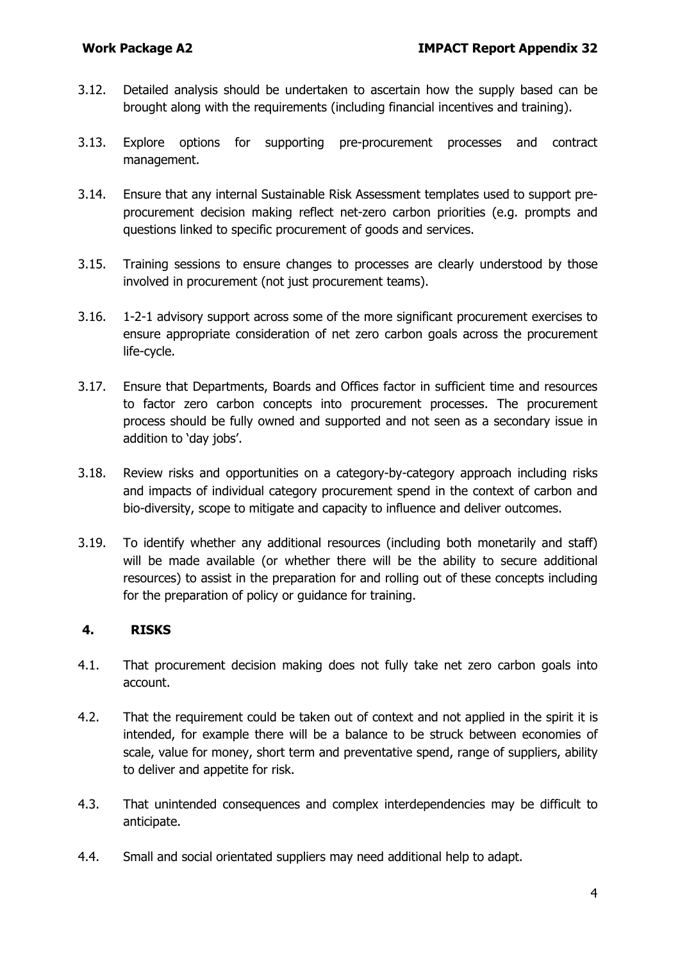- 3.12. Detailed analysis should be undertaken to ascertain how the supply based can be brought along with the requirements (including financial incentives and training).
- 3.13. Explore options for supporting pre-procurement processes and contract management.
- 3.14. Ensure that any internal Sustainable Risk Assessment templates used to support preprocurement decision making reflect net-zero carbon priorities (e.g. prompts and questions linked to specific procurement of goods and services.
- 3.15. Training sessions to ensure changes to processes are clearly understood by those involved in procurement (not just procurement teams).
- 3.16. 1-2-1 advisory support across some of the more significant procurement exercises to ensure appropriate consideration of net zero carbon goals across the procurement life-cycle.
- 3.17. Ensure that Departments, Boards and Offices factor in sufficient time and resources to factor zero carbon concepts into procurement processes. The procurement process should be fully owned and supported and not seen as a secondary issue in addition to 'day jobs'.
- 3.18. Review risks and opportunities on a category-by-category approach including risks and impacts of individual category procurement spend in the context of carbon and bio-diversity, scope to mitigate and capacity to influence and deliver outcomes.
- 3.19. To identify whether any additional resources (including both monetarily and staff) will be made available (or whether there will be the ability to secure additional resources) to assist in the preparation for and rolling out of these concepts including for the preparation of policy or guidance for training.

### **4. RISKS**

- 4.1. That procurement decision making does not fully take net zero carbon goals into account.
- 4.2. That the requirement could be taken out of context and not applied in the spirit it is intended, for example there will be a balance to be struck between economies of scale, value for money, short term and preventative spend, range of suppliers, ability to deliver and appetite for risk.
- 4.3. That unintended consequences and complex interdependencies may be difficult to anticipate.
- 4.4. Small and social orientated suppliers may need additional help to adapt.